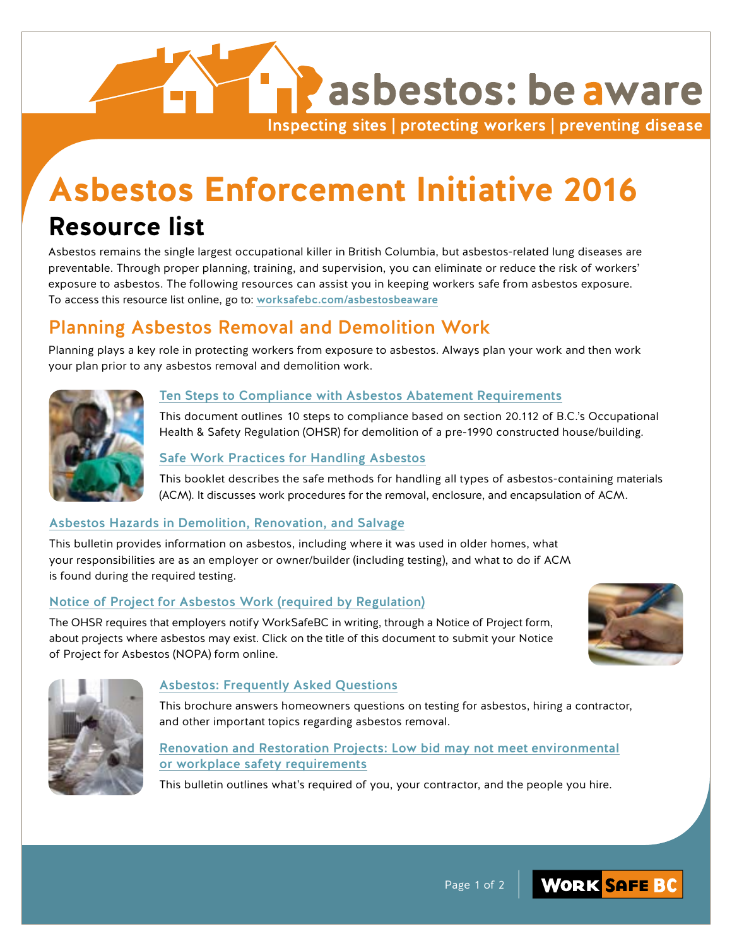## asbestos: be aware Inspecting sites | protecting workers | preventing disease

# **Asbestos Enforcement Initiative 2016**

## **Resource list**

Asbestos remains the single largest occupational killer in British Columbia, but asbestos-related lung diseases are preventable. Through proper planning, training, and supervision, you can eliminate or reduce the risk of workers' exposure to asbestos. The following resources can assist you in keeping workers safe from asbestos exposure. To access this resource list online, go to: [worksafebc.com/asbestosbeaware](https://worksafebc.com/en/health-safety/industries/construction/initiatives/asbestos-be-aware)

## Planning Asbestos Removal and Demolition Work

Planning plays a key role in protecting workers from exposure to asbestos. Always plan your work and then work your plan prior to any asbestos removal and demolition work.



#### [Ten Steps to Compliance with Asbestos Abateme](https://worksafebc.com/en/resources/health-safety/books-guides/ten-steps-to-compliance-with-asbestos-abatement-requirements-of-section-20112-for-a-pre1990-housebuilding-demolition?lang=en&origin=s&returnurl=https%3A%2F%2Fbeta.worksafebc.com%2Fen%2Fsearch%23q%3DTen%2520Steps%2520to%2520Compliance%2520with%2520Asbestos%2520%26sort%3Drelevancy%26f%3Alanguage-facet%3D%5BEnglish%5D&highlight=Ten+Steps%2Bto%2BCompliance%2Bwith%2BAsbestos%2B)nt Requirements

This document outlines 10 steps to compliance based on section 20.112 of B.C.'s Occupational Health & Safety Regulation (OHSR) for demolition of a pre-1990 constructed house/building.

#### [Safe Work Practices for Handling Asbestos](https://worksafebc.com/en/resources/health-safety/books-guides/safe-work-practices-for-handling-asbestos?lang=en&origin=s&returnurl=https%3A%2F%2Fbeta.worksafebc.com%2Fen%2Fsearch%23q%3DSafe%2520work%2520practices%2520for%2520handling%2520asbestos%26sort%3Drelevancy%26f%3Alanguage-facet%3D%5BEnglish%5D&highlight=Safe+work%2Bpractices%2Bfor%2Bhandling%2Basbestos)

This booklet describes the safe methods for handling all types of asbestos-containing materials (ACM). It discusses work procedures for the removal, enclosure, and encapsulation of ACM.

#### [Asbestos Hazards in Demolition, Renovation, and Salvage](https://worksafebc.com/en/resources/health-safety/videos/aesbestos-hazards-in-renovations-restorations-and-demolition?lang=en&origin=s&returnurl=https%3A%2F%2Fbeta.worksafebc.com%2Fen%2Fsearch%23q%3DAsbestos%2520Hazards%2520in%2520Demolition%2520%26sort%3Drelevancy%26f%3Alanguage-facet%3D%5BEnglish%5D&highlight=Asbestos+Hazards%2Bin%2BDemolition%2B)

This bulletin provides information on asbestos, including where it was used in older homes, what your responsibilities are as an employer or owner/builder (including testing), and what to do if ACM is found during the required testing.

#### [Notice of Project for Asbestos Work \(required by Regulation\)](https://worksafebc.com/en/for-employers/just-for-you/submit-notice-project)

The OHSR requires that employers notify WorkSafeBC in writing, through a Notice of Project form, about projects where asbestos may exist. Click on the title of this document to submit your Notice of Project for Asbestos (NOPA) form online.





#### [Asbestos: Frequently Asked Questions](https://worksafebc.com/en/resources/health-safety/information-sheets/asbestos-frequently-asked-questions?lang=en&origin=s&returnurl=https%3A%2F%2Fbeta.worksafebc.com%2Fen%2Fsearch%23q%3DAsbestos%253A%2520Frequently%2520Asked%2520Questions%26sort%3Drelevancy%26f%3Alanguage-facet%3D%5BEnglish%5D&highlight=Asbestos%3A+Frequently%2BAsked%2BQuestions)

This brochure answers homeowners questions on testing for asbestos, hiring a contractor, and other important topics regarding asbestos removal.

#### [Renovation and Restoration Projects: Low bid may not meet environmental](https://worksafebc.com/en/resources/health-safety/hazard-alerts/renovation-and-restoration-projects-low-bid-may-not-meet-environmental-or-workplace-safety-requirements?lang=en&origin=s&returnurl=https%3A%2F%2Fbeta.worksafebc.com%2Fen%2Fsearch%23q%3DRenovation%2520and%2520Restoration%2520Projects%253A%2520Low%2520bid%2520may%2520not%2520meet%2520environmental%2520%26sort%3Drelevancy%26f%3Alanguage-facet%3D%5BEnglish%5D&highlight=Renovation+and%2BRestoration%2BProjects%3A%2BLow%2Bbid%2Bmay%2Bnot%2Bmeet%2Benvironmental%2B) [or workplace safety requirements](https://worksafebc.com/en/resources/health-safety/hazard-alerts/renovation-and-restoration-projects-low-bid-may-not-meet-environmental-or-workplace-safety-requirements?lang=en&origin=s&returnurl=https%3A%2F%2Fbeta.worksafebc.com%2Fen%2Fsearch%23q%3DRenovation%2520and%2520Restoration%2520Projects%253A%2520Low%2520bid%2520may%2520not%2520meet%2520environmental%2520%26sort%3Drelevancy%26f%3Alanguage-facet%3D%5BEnglish%5D&highlight=Renovation+and%2BRestoration%2BProjects%3A%2BLow%2Bbid%2Bmay%2Bnot%2Bmeet%2Benvironmental%2B)

This bulletin outlines what's required of you, your contractor, and the people you hire.